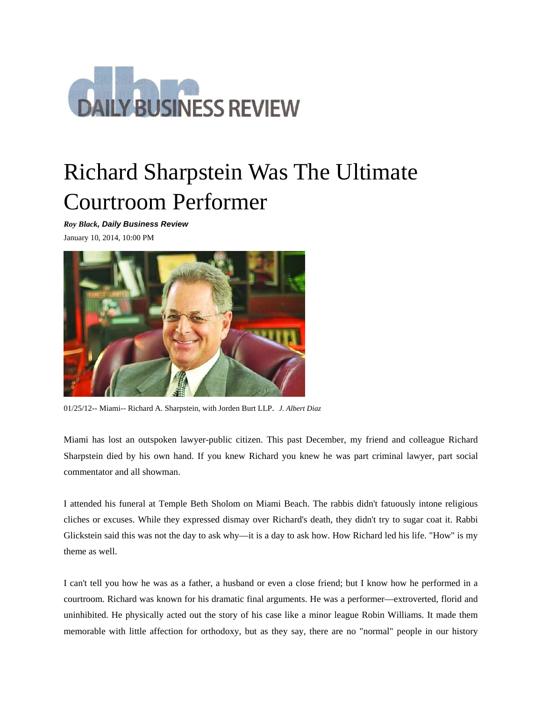

## Richard Sharpstein Was The Ultimate Courtroom Performer

*Roy Black, Daily Business Review*

January 10, 2014, 10:00 PM



01/25/12-- Miami-- Richard A. Sharpstein, with Jorden Burt LLP. *J. Albert Diaz*

Miami has lost an outspoken lawyer-public citizen. This past December, my friend and colleague Richard Sharpstein died by his own hand. If you knew Richard you knew he was part criminal lawyer, part social commentator and all showman.

I attended his funeral at Temple Beth Sholom on Miami Beach. The rabbis didn't fatuously intone religious cliches or excuses. While they expressed dismay over Richard's death, they didn't try to sugar coat it. Rabbi Glickstein said this was not the day to ask why—it is a day to ask how. How Richard led his life. "How" is my theme as well.

I can't tell you how he was as a father, a husband or even a close friend; but I know how he performed in a courtroom. Richard was known for his dramatic final arguments. He was a performer—extroverted, florid and uninhibited. He physically acted out the story of his case like a minor league Robin Williams. It made them memorable with little affection for orthodoxy, but as they say, there are no "normal" people in our history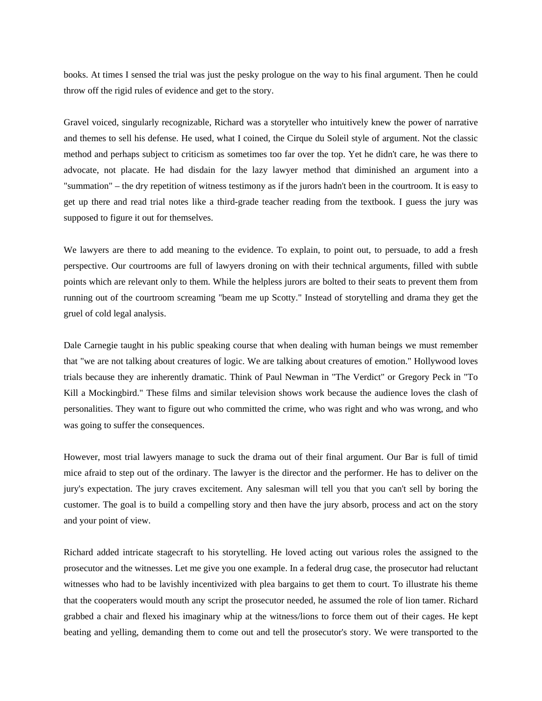books. At times I sensed the trial was just the pesky prologue on the way to his final argument. Then he could throw off the rigid rules of evidence and get to the story.

Gravel voiced, singularly recognizable, Richard was a storyteller who intuitively knew the power of narrative and themes to sell his defense. He used, what I coined, the Cirque du Soleil style of argument. Not the classic method and perhaps subject to criticism as sometimes too far over the top. Yet he didn't care, he was there to advocate, not placate. He had disdain for the lazy lawyer method that diminished an argument into a "summation" – the dry repetition of witness testimony as if the jurors hadn't been in the courtroom. It is easy to get up there and read trial notes like a third-grade teacher reading from the textbook. I guess the jury was supposed to figure it out for themselves.

We lawyers are there to add meaning to the evidence. To explain, to point out, to persuade, to add a fresh perspective. Our courtrooms are full of lawyers droning on with their technical arguments, filled with subtle points which are relevant only to them. While the helpless jurors are bolted to their seats to prevent them from running out of the courtroom screaming "beam me up Scotty." Instead of storytelling and drama they get the gruel of cold legal analysis.

Dale Carnegie taught in his public speaking course that when dealing with human beings we must remember that "we are not talking about creatures of logic. We are talking about creatures of emotion." Hollywood loves trials because they are inherently dramatic. Think of Paul Newman in "The Verdict" or Gregory Peck in "To Kill a Mockingbird." These films and similar television shows work because the audience loves the clash of personalities. They want to figure out who committed the crime, who was right and who was wrong, and who was going to suffer the consequences.

However, most trial lawyers manage to suck the drama out of their final argument. Our Bar is full of timid mice afraid to step out of the ordinary. The lawyer is the director and the performer. He has to deliver on the jury's expectation. The jury craves excitement. Any salesman will tell you that you can't sell by boring the customer. The goal is to build a compelling story and then have the jury absorb, process and act on the story and your point of view.

Richard added intricate stagecraft to his storytelling. He loved acting out various roles the assigned to the prosecutor and the witnesses. Let me give you one example. In a federal drug case, the prosecutor had reluctant witnesses who had to be lavishly incentivized with plea bargains to get them to court. To illustrate his theme that the cooperaters would mouth any script the prosecutor needed, he assumed the role of lion tamer. Richard grabbed a chair and flexed his imaginary whip at the witness/lions to force them out of their cages. He kept beating and yelling, demanding them to come out and tell the prosecutor's story. We were transported to the